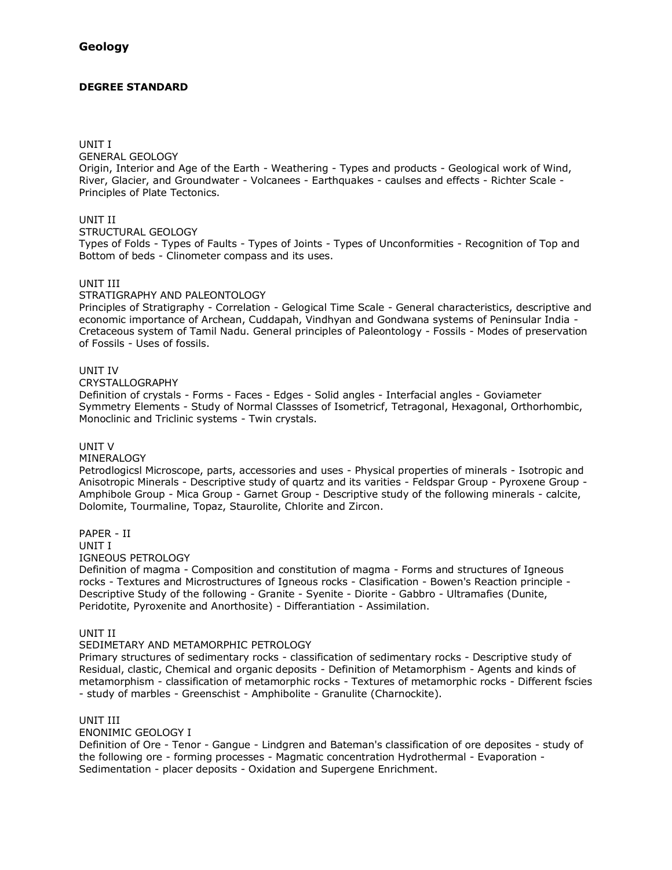# **DEGREE STANDARD**

#### UNIT I

GENERAL GEOLOGY

Origin, Interior and Age of the Earth - Weathering - Types and products - Geological work of Wind, River, Glacier, and Groundwater - Volcanees - Earthquakes - caulses and effects - Richter Scale - Principles of Plate Tectonics.

# UNIT II

#### STRUCTURAL GEOLOGY

Types of Folds - Types of Faults - Types of Joints - Types of Unconformities - Recognition of Top and Bottom of beds - Clinometer compass and its uses.

# UNIT III

#### STRATIGRAPHY AND PALEONTOLOGY

Principles of Stratigraphy - Correlation - Gelogical Time Scale - General characteristics, descriptive and economic importance of Archean, Cuddapah, Vindhyan and Gondwana systems of Peninsular India - Cretaceous system of Tamil Nadu. General principles of Paleontology - Fossils - Modes of preservation of Fossils - Uses of fossils.

# UNIT IV

CRYSTALLOGRAPHY

Definition of crystals - Forms - Faces - Edges - Solid angles - Interfacial angles - Goviameter Symmetry Elements - Study of Normal Classses of Isometricf, Tetragonal, Hexagonal, Orthorhombic, Monoclinic and Triclinic systems - Twin crystals.

#### UNIT V

MINERALOGY

Petrodlogicsl Microscope, parts, accessories and uses - Physical properties of minerals - Isotropic and Anisotropic Minerals - Descriptive study of quartz and its varities - Feldspar Group - Pyroxene Group - Amphibole Group - Mica Group - Garnet Group - Descriptive study of the following minerals - calcite, Dolomite, Tourmaline, Topaz, Staurolite, Chlorite and Zircon.

PAPER - II UNIT I

IGNEOUS PETROLOGY

Definition of magma - Composition and constitution of magma - Forms and structures of Igneous rocks - Textures and Microstructures of Igneous rocks - Clasification - Bowen's Reaction principle - Descriptive Study of the following - Granite - Syenite - Diorite - Gabbro - Ultramafies (Dunite, Peridotite, Pyroxenite and Anorthosite) - Differantiation - Assimilation.

UNIT II

#### SEDIMETARY AND METAMORPHIC PETROLOGY

Primary structures of sedimentary rocks - classification of sedimentary rocks - Descriptive study of Residual, clastic, Chemical and organic deposits - Definition of Metamorphism - Agents and kinds of metamorphism - classification of metamorphic rocks - Textures of metamorphic rocks - Different fscies - study of marbles - Greenschist - Amphibolite - Granulite (Charnockite).

UNIT III

ENONIMIC GEOLOGY I

Definition of Ore - Tenor - Gangue - Lindgren and Bateman's classification of ore deposites - study of the following ore - forming processes - Magmatic concentration Hydrothermal - Evaporation - Sedimentation - placer deposits - Oxidation and Supergene Enrichment.